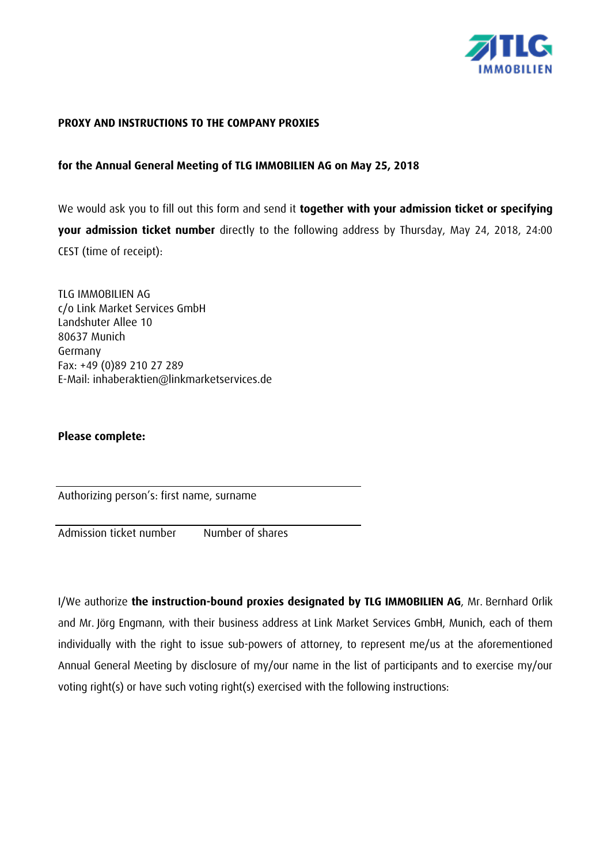

### **PROXY AND INSTRUCTIONS TO THE COMPANY PROXIES**

## **for the Annual General Meeting of TLG IMMOBILIEN AG on May 25, 2018**

We would ask you to fill out this form and send it **together with your admission ticket or specifying your admission ticket number** directly to the following address by Thursday, May 24, 2018, 24:00 CEST (time of receipt):

TLG IMMOBILIEN AG c/o Link Market Services GmbH Landshuter Allee 10 80637 Munich Germany Fax: +49 (0)89 210 27 289 E-Mail: inhaberaktien@linkmarketservices.de

## **Please complete:**

Authorizing person's: first name, surname

Admission ticket number Number of shares

I/We authorize **the instruction-bound proxies designated by TLG IMMOBILIEN AG**, Mr. Bernhard Orlik and Mr. Jörg Engmann, with their business address at Link Market Services GmbH, Munich, each of them individually with the right to issue sub-powers of attorney, to represent me/us at the aforementioned Annual General Meeting by disclosure of my/our name in the list of participants and to exercise my/our voting right(s) or have such voting right(s) exercised with the following instructions: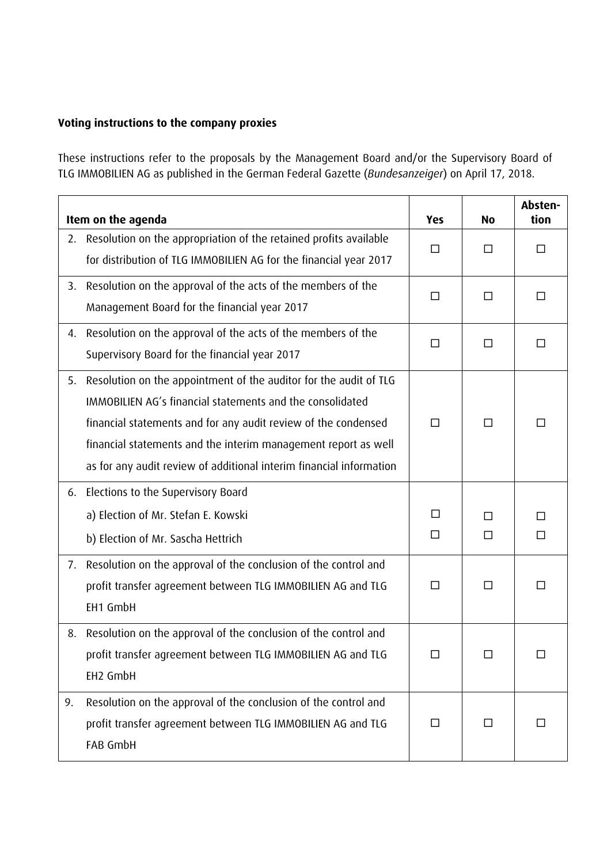# **Voting instructions to the company proxies**

These instructions refer to the proposals by the Management Board and/or the Supervisory Board of TLG IMMOBILIEN AG as published in the German Federal Gazette (*Bundesanzeiger*) on April 17, 2018.

| Item on the agenda |                                                                                                                                                                                                                                                                                                                                           | <b>Yes</b> | <b>No</b>   | Absten-<br>tion |
|--------------------|-------------------------------------------------------------------------------------------------------------------------------------------------------------------------------------------------------------------------------------------------------------------------------------------------------------------------------------------|------------|-------------|-----------------|
| 2.                 | Resolution on the appropriation of the retained profits available<br>for distribution of TLG IMMOBILIEN AG for the financial year 2017                                                                                                                                                                                                    | □          | □           | Ш               |
|                    | 3. Resolution on the approval of the acts of the members of the<br>Management Board for the financial year 2017                                                                                                                                                                                                                           | $\Box$     | $\Box$      | $\Box$          |
|                    | 4. Resolution on the approval of the acts of the members of the<br>Supervisory Board for the financial year 2017                                                                                                                                                                                                                          | □          | $\Box$      | □               |
| 5.                 | Resolution on the appointment of the auditor for the audit of TLG<br>IMMOBILIEN AG's financial statements and the consolidated<br>financial statements and for any audit review of the condensed<br>financial statements and the interim management report as well<br>as for any audit review of additional interim financial information | $\Box$     | $\Box$      | П               |
| 6.                 | Elections to the Supervisory Board<br>a) Election of Mr. Stefan E. Kowski<br>b) Election of Mr. Sascha Hettrich                                                                                                                                                                                                                           | П<br>□     | П<br>$\Box$ | Ш<br>$\Box$     |
| 7.                 | Resolution on the approval of the conclusion of the control and<br>profit transfer agreement between TLG IMMOBILIEN AG and TLG<br>EH1 GmbH                                                                                                                                                                                                | $\Box$     | $\Box$      | П               |
| 8.                 | Resolution on the approval of the conclusion of the control and<br>profit transfer agreement between TLG IMMOBILIEN AG and TLG<br>EH2 GmbH                                                                                                                                                                                                | ΙI         |             |                 |
| 9.                 | Resolution on the approval of the conclusion of the control and<br>profit transfer agreement between TLG IMMOBILIEN AG and TLG<br>FAB GmbH                                                                                                                                                                                                | $\Box$     | □           | ΙI              |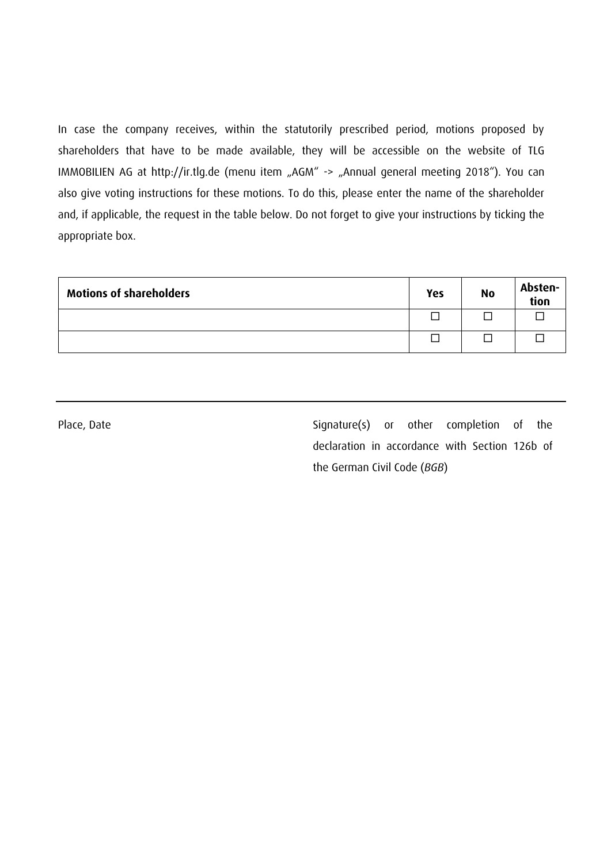In case the company receives, within the statutorily prescribed period, motions proposed by shareholders that have to be made available, they will be accessible on the website of TLG IMMOBILIEN AG at http://ir.tlg.de (menu item "AGM" -> "Annual general meeting 2018"). You can also give voting instructions for these motions. To do this, please enter the name of the shareholder and, if applicable, the request in the table below. Do not forget to give your instructions by ticking the appropriate box.

| <b>Motions of shareholders</b> | <b>Yes</b> | <b>No</b> | Absten-<br>tion |
|--------------------------------|------------|-----------|-----------------|
|                                |            |           |                 |
|                                |            |           |                 |

Place, Date Signature(s) or other completion of the declaration in accordance with Section 126b of the German Civil Code (*BGB*)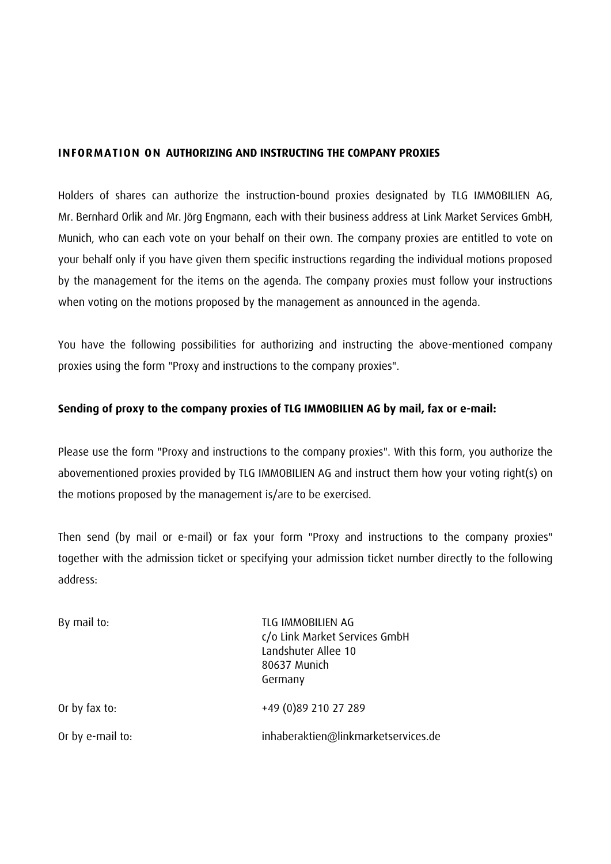### **INFORMATION ON AUTHORIZING AND INSTRUCTING THE COMPANY PROXIES**

Holders of shares can authorize the instruction-bound proxies designated by TLG IMMOBILIEN AG, Mr. Bernhard Orlik and Mr. Jörg Engmann, each with their business address at Link Market Services GmbH, Munich, who can each vote on your behalf on their own. The company proxies are entitled to vote on your behalf only if you have given them specific instructions regarding the individual motions proposed by the management for the items on the agenda. The company proxies must follow your instructions when voting on the motions proposed by the management as announced in the agenda.

You have the following possibilities for authorizing and instructing the above-mentioned company proxies using the form "Proxy and instructions to the company proxies".

## **Sending of proxy to the company proxies of TLG IMMOBILIEN AG by mail, fax or e-mail:**

Please use the form "Proxy and instructions to the company proxies". With this form, you authorize the abovementioned proxies provided by TLG IMMOBILIEN AG and instruct them how your voting right(s) on the motions proposed by the management is/are to be exercised.

Then send (by mail or e-mail) or fax your form "Proxy and instructions to the company proxies" together with the admission ticket or specifying your admission ticket number directly to the following address:

| By mail to:      | TLG IMMOBILIEN AG<br>c/o Link Market Services GmbH<br>Landshuter Allee 10<br>80637 Munich<br>Germany |
|------------------|------------------------------------------------------------------------------------------------------|
| Or by fax to:    | +49 (0)89 210 27 289                                                                                 |
| Or by e-mail to: | inhaberaktien@linkmarketservices.de                                                                  |